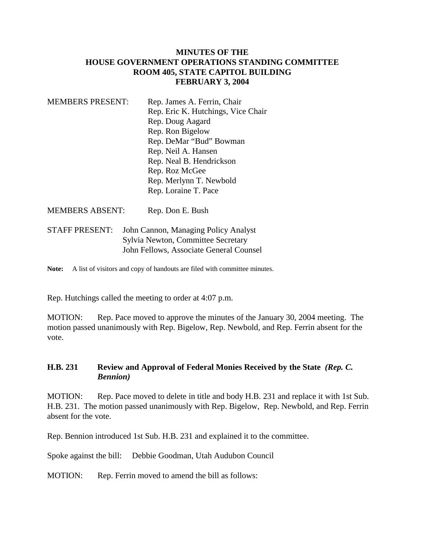## **MINUTES OF THE HOUSE GOVERNMENT OPERATIONS STANDING COMMITTEE ROOM 405, STATE CAPITOL BUILDING FEBRUARY 3, 2004**

| <b>MEMBERS PRESENT:</b> | Rep. James A. Ferrin, Chair        |
|-------------------------|------------------------------------|
|                         | Rep. Eric K. Hutchings, Vice Chair |
|                         | Rep. Doug Aagard                   |
|                         | Rep. Ron Bigelow                   |
|                         | Rep. DeMar "Bud" Bowman            |
|                         | Rep. Neil A. Hansen                |
|                         | Rep. Neal B. Hendrickson           |
|                         | Rep. Roz McGee                     |
|                         | Rep. Merlynn T. Newbold            |
|                         | Rep. Loraine T. Pace               |
|                         |                                    |

MEMBERS ABSENT: Rep. Don E. Bush

STAFF PRESENT: John Cannon, Managing Policy Analyst Sylvia Newton, Committee Secretary John Fellows, Associate General Counsel

Note: A list of visitors and copy of handouts are filed with committee minutes.

Rep. Hutchings called the meeting to order at 4:07 p.m.

MOTION: Rep. Pace moved to approve the minutes of the January 30, 2004 meeting. The motion passed unanimously with Rep. Bigelow, Rep. Newbold, and Rep. Ferrin absent for the vote.

## **H.B. 231 Review and Approval of Federal Monies Received by the State** *(Rep. C. Bennion)*

MOTION: Rep. Pace moved to delete in title and body H.B. 231 and replace it with 1st Sub. H.B. 231. The motion passed unanimously with Rep. Bigelow, Rep. Newbold, and Rep. Ferrin absent for the vote.

Rep. Bennion introduced 1st Sub. H.B. 231 and explained it to the committee.

Spoke against the bill: Debbie Goodman, Utah Audubon Council

MOTION: Rep. Ferrin moved to amend the bill as follows: